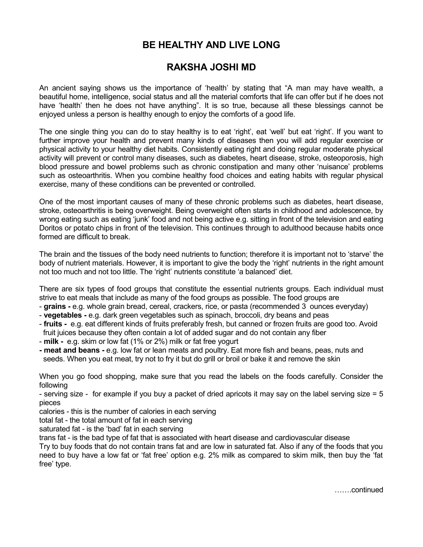## **BE HEALTHY AND LIVE LONG**

## **RAKSHA JOSHI MD**

An ancient saying shows us the importance of 'health' by stating that "A man may have wealth, a beautiful home, intelligence, social status and all the material comforts that life can offer but if he does not have 'health' then he does not have anything". It is so true, because all these blessings cannot be enjoyed unless a person is healthy enough to enjoy the comforts of a good life.

The one single thing you can do to stay healthy is to eat 'right', eat 'well' but eat 'right'. If you want to further improve your health and prevent many kinds of diseases then you will add regular exercise or physical activity to your healthy diet habits. Consistently eating right and doing regular moderate physical activity will prevent or control many diseases, such as diabetes, heart disease, stroke, osteoporosis, high blood pressure and bowel problems such as chronic constipation and many other 'nuisance' problems such as osteoarthritis. When you combine healthy food choices and eating habits with regular physical exercise, many of these conditions can be prevented or controlled.

One of the most important causes of many of these chronic problems such as diabetes, heart disease, stroke, osteoarthritis is being overweight. Being overweight often starts in childhood and adolescence, by wrong eating such as eating 'junk' food and not being active e.g. sitting in front of the television and eating Doritos or potato chips in front of the television. This continues through to adulthood because habits once formed are difficult to break.

The brain and the tissues of the body need nutrients to function; therefore it is important not to 'starve' the body of nutrient materials. However, it is important to give the body the 'right' nutrients in the right amount not too much and not too little. The 'right' nutrients constitute 'a balanced' diet.

There are six types of food groups that constitute the essential nutrients groups. Each individual must strive to eat meals that include as many of the food groups as possible. The food groups are

- **grains -** e.g. whole grain bread, cereal, crackers, rice, or pasta (recommended 3 ounces everyday)
- **vegetables** e.g. dark green vegetables such as spinach, broccoli, dry beans and peas
- **fruits** e.g. eat different kinds of fruits preferably fresh, but canned or frozen fruits are good too. Avoid fruit juices because they often contain a lot of added sugar and do not contain any fiber
- **milk** e.g. skim or low fat (1% or 2%) milk or fat free yogurt
- **- meat and beans** e.g. low fat or lean meats and poultry. Eat more fish and beans, peas, nuts and seeds. When you eat meat, try not to fry it but do grill or broil or bake it and remove the skin

When you go food shopping, make sure that you read the labels on the foods carefully. Consider the following

- serving size - for example if you buy a packet of dried apricots it may say on the label serving size = 5 pieces

calories - this is the number of calories in each serving

total fat - the total amount of fat in each serving

saturated fat - is the 'bad' fat in each serving

trans fat - is the bad type of fat that is associated with heart disease and cardiovascular disease

Try to buy foods that do not contain trans fat and are low in saturated fat. Also if any of the foods that you need to buy have a low fat or 'fat free' option e.g. 2% milk as compared to skim milk, then buy the 'fat free' type.

…….continued